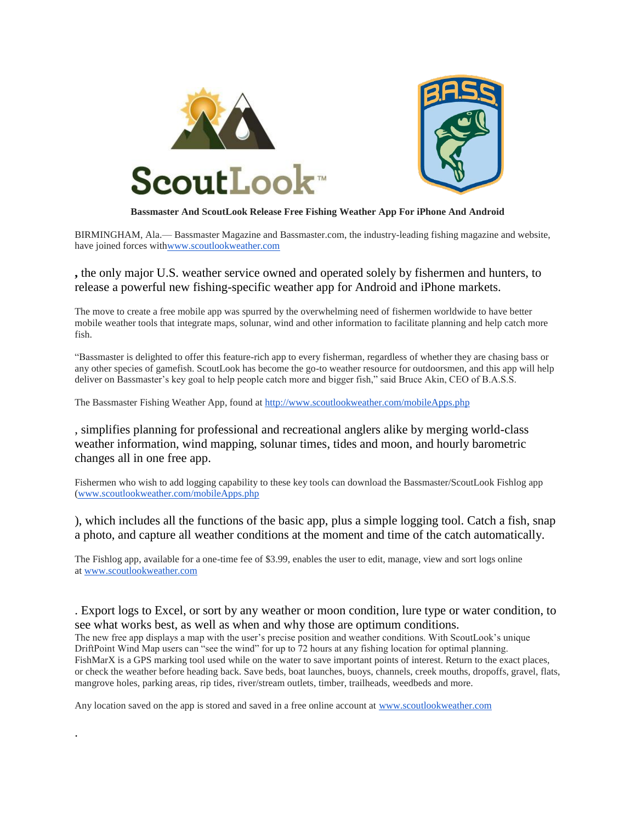



### **Bassmaster And ScoutLook Release Free Fishing Weather App For iPhone And Android**

BIRMINGHAM, Ala.— Bassmaster Magazine and Bassmaster.com, the industry-leading fishing magazine and website, have joined forces wit[hwww.scoutlookweather.com](http://www.scoutlookweather.com/)

# **,** the only major U.S. weather service owned and operated solely by fishermen and hunters, to release a powerful new fishing-specific weather app for Android and iPhone markets.

The move to create a free mobile app was spurred by the overwhelming need of fishermen worldwide to have better mobile weather tools that integrate maps, solunar, wind and other information to facilitate planning and help catch more fish.

"Bassmaster is delighted to offer this feature-rich app to every fisherman, regardless of whether they are chasing bass or any other species of gamefish. ScoutLook has become the go-to weather resource for outdoorsmen, and this app will help deliver on Bassmaster's key goal to help people catch more and bigger fish," said Bruce Akin, CEO of B.A.S.S.

The Bassmaster Fishing Weather App, found at <http://www.scoutlookweather.com/mobileApps.php>

, simplifies planning for professional and recreational anglers alike by merging world-class weather information, wind mapping, solunar times, tides and moon, and hourly barometric changes all in one free app.

Fishermen who wish to add logging capability to these key tools can download the Bassmaster/ScoutLook Fishlog app [\(www.scoutlookweather.com/mobileApps.php](http://www.scoutlookweather.com/mobileApps.php)

), which includes all the functions of the basic app, plus a simple logging tool. Catch a fish, snap a photo, and capture all weather conditions at the moment and time of the catch automatically.

The Fishlog app, available for a one-time fee of \$3.99, enables the user to edit, manage, view and sort logs online at [www.scoutlookweather.com](http://www.scoutlookweather.com/)

# . Export logs to Excel, or sort by any weather or moon condition, lure type or water condition, to see what works best, as well as when and why those are optimum conditions.

The new free app displays a map with the user's precise position and weather conditions. With ScoutLook's unique DriftPoint Wind Map users can "see the wind" for up to 72 hours at any fishing location for optimal planning. FishMarX is a GPS marking tool used while on the water to save important points of interest. Return to the exact places, or check the weather before heading back. Save beds, boat launches, buoys, channels, creek mouths, dropoffs, gravel, flats, mangrove holes, parking areas, rip tides, river/stream outlets, timber, trailheads, weedbeds and more.

Any location saved on the app is stored and saved in a free online account at [www.scoutlookweather.com](http://www.scoutlookweather.com/)

.